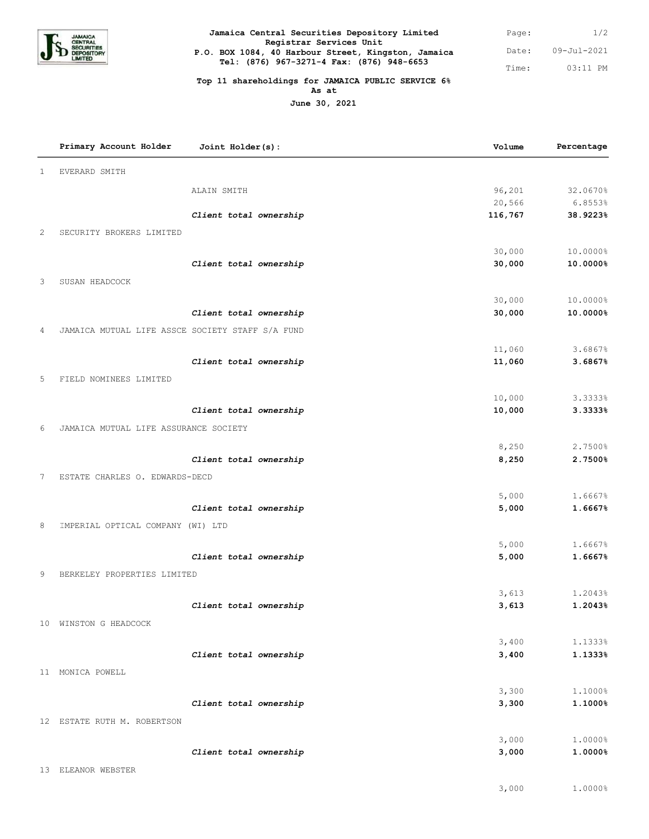

## 09-Jul-2021 03:11 PM Page: Date: Time: **Jamaica Central Securities Depository Limited Registrar Services Unit P.O. BOX 1084, 40 Harbour Street, Kingston, Jamaica Tel: (876) 967-3271-4 Fax: (876) 948-6653**

## **Top 11 shareholdings for JAMAICA PUBLIC SERVICE 6% As at**

**June 30, 2021**

|              | Primary Account Holder                           | Joint Holder(s):       | Volume  | Percentage |
|--------------|--------------------------------------------------|------------------------|---------|------------|
| $\mathbf{1}$ | EVERARD SMITH                                    |                        |         |            |
|              |                                                  | ALAIN SMITH            | 96,201  | 32.0670%   |
|              |                                                  |                        | 20,566  | 6.8553%    |
|              |                                                  | Client total ownership | 116,767 | 38.9223%   |
| 2            | SECURITY BROKERS LIMITED                         |                        |         |            |
|              |                                                  |                        | 30,000  | 10.0000%   |
|              |                                                  | Client total ownership | 30,000  | 10.0000%   |
| 3            | SUSAN HEADCOCK                                   |                        |         |            |
|              |                                                  |                        | 30,000  | 10.0000%   |
|              |                                                  | Client total ownership | 30,000  | 10.0000%   |
| 4            | JAMAICA MUTUAL LIFE ASSCE SOCIETY STAFF S/A FUND |                        |         |            |
|              |                                                  |                        | 11,060  | 3.6867%    |
|              |                                                  | Client total ownership | 11,060  | 3.6867%    |
| 5            | FIELD NOMINEES LIMITED                           |                        |         |            |
|              |                                                  |                        | 10,000  | 3.3333%    |
|              |                                                  | Client total ownership | 10,000  | 3.3333%    |
| 6            | JAMAICA MUTUAL LIFE ASSURANCE SOCIETY            |                        |         |            |
|              |                                                  |                        | 8,250   | 2.7500%    |
|              |                                                  | Client total ownership | 8,250   | 2.7500%    |
| 7            | ESTATE CHARLES O. EDWARDS-DECD                   |                        |         |            |
|              |                                                  |                        | 5,000   | 1.6667%    |
|              |                                                  | Client total ownership | 5,000   | 1.6667%    |
| 8            | IMPERIAL OPTICAL COMPANY (WI) LTD                |                        |         |            |
|              |                                                  |                        | 5,000   | 1.6667%    |
|              |                                                  | Client total ownership | 5,000   | 1.6667%    |
| 9            | BERKELEY PROPERTIES LIMITED                      |                        |         |            |
|              |                                                  |                        | 3,613   | 1.2043%    |
|              |                                                  | Client total ownership | 3,613   | 1.2043%    |
|              | 10 WINSTON G HEADCOCK                            |                        |         |            |
|              |                                                  |                        | 3,400   | 1.1333%    |
|              |                                                  | Client total ownership | 3,400   | 1.1333%    |
|              | 11 MONICA POWELL                                 |                        |         |            |
|              |                                                  |                        | 3,300   | 1.1000%    |
|              |                                                  | Client total ownership | 3,300   | 1.1000%    |
|              | 12 ESTATE RUTH M. ROBERTSON                      |                        |         |            |
|              |                                                  |                        | 3,000   | 1.0000%    |
|              |                                                  | Client total ownership | 3,000   | 1.0000%    |
|              | 13 ELEANOR WEBSTER                               |                        |         |            |

3,000 1.0000%

1/2